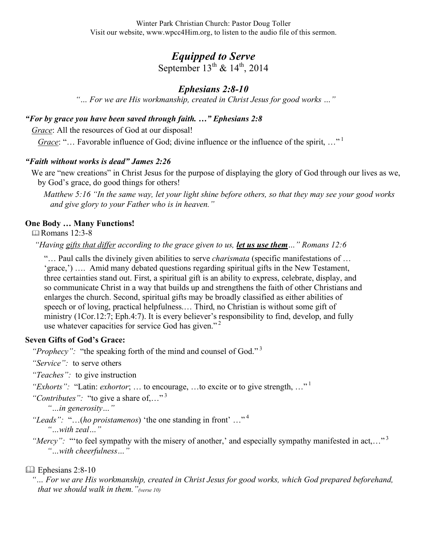Winter Park Christian Church: Pastor Doug Toller Visit our website, www.wpcc4Him.org, to listen to the audio file of this sermon.

# *Equipped to Serve*

September  $13^{th}$  &  $14^{th}$ , 2014

# *Ephesians 2:8-10*

*"… For we are His workmanship, created in Christ Jesus for good works …"*

# *"For by grace you have been saved through faith. …" Ephesians 2:8*

*Grace*: All the resources of God at our disposal!

*Grace*: "... Favorable influence of God; divine influence or the influence of the spirit, ..."<sup>1</sup>

# *"Faith without works is dead" James 2:26*

We are "new creations" in Christ Jesus for the purpose of displaying the glory of God through our lives as we, by God's grace, do good things for others!

*Matthew 5:16 "In the same way, let your light shine before others, so that they may see your good works and give glory to your Father who is in heaven."*

# **One Body … Many Functions!**

Romans 12:3-8

*"Having gifts that differ according to the grace given to us, let us use them…" Romans 12:6*

"… Paul calls the divinely given abilities to serve *charismata* (specific manifestations of … 'grace,') …. Amid many debated questions regarding spiritual gifts in the New Testament, three certainties stand out. First, a spiritual gift is an ability to express, celebrate, display, and so communicate Christ in a way that builds up and strengthens the faith of other Christians and enlarges the church. Second, spiritual gifts may be broadly classified as either abilities of speech or of loving, practical helpfulness.… Third, no Christian is without some gift of ministry (1Cor.12:7; Eph.4:7). It is every believer's responsibility to find, develop, and fully use whatever capacities for service God has given."<sup>2</sup>

## **Seven Gifts of God's Grace:**

"*Prophecy*": "the speaking forth of the mind and counsel of God."<sup>3</sup>

*"Service":* to serve others

*"Teaches":* to give instruction

*"Exhorts":* "Latin: *exhortor*; ... to encourage, ...to excite or to give strength, ..."<sup>1</sup>

"Contributes": "to give a share of,..."<sup>3</sup>

*"…in generosity…"*

*"Leads":* "…(*ho proistamenos*) 'the one standing in front' …" 4 *"…with zeal…"* 

*"Mercy"*: "'to feel sympathy with the misery of another,' and especially sympathy manifested in act,..."<sup>3</sup> *"…with cheerfulness…"* 

## Ephesians 2:8-10

*"… For we are His workmanship, created in Christ Jesus for good works, which God prepared beforehand, that we should walk in them."(verse 10)*